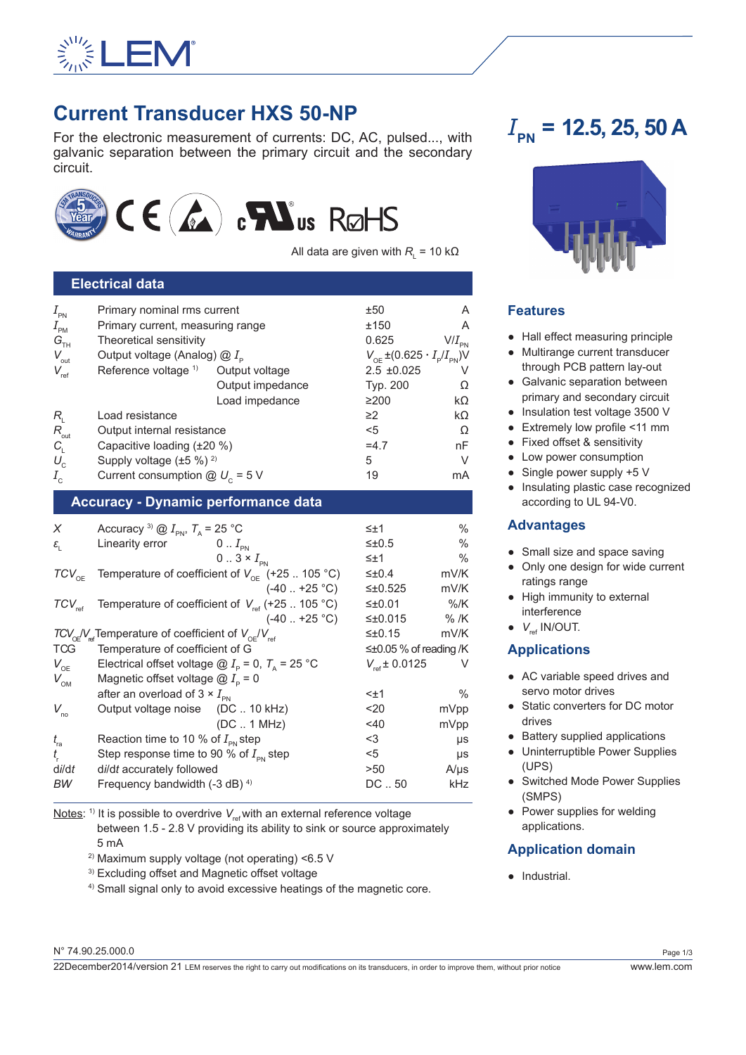

## **Current Transducer HXS 50-NP**

For the electronic measurement of currents: DC, AC, pulsed..., with galvanic separation between the primary circuit and the secondary circuit.



All data are given with  $R_{_{\rm L}}$  = 10 kΩ

| <b>Electrical data</b> |                                           |                  |                                                                 |    |  |  |
|------------------------|-------------------------------------------|------------------|-----------------------------------------------------------------|----|--|--|
| $I_{\rm PN}$           | Primary nominal rms current               |                  | ±50                                                             | A  |  |  |
| $I_{\text{PM}}$        | Primary current, measuring range          | ±150             | A                                                               |    |  |  |
| $G_{\text{th}}$        | Theoretical sensitivity                   | 0.625            | $\mathsf{V}/I_{_{\mathsf{PN}}}$                                 |    |  |  |
| $V_{\text{out}}$       | Output voltage (Analog) $@I_{\circ}$      |                  | $V_{\text{OF}}$ ±(0.625 $\cdot$ $I_{\text{p}}/I_{\text{PN}}$ )V |    |  |  |
| $V_{\rm ref}$          | Reference voltage <sup>1)</sup>           | Output voltage   | $2.5 \pm 0.025$                                                 |    |  |  |
|                        |                                           | Output impedance | Typ. 200                                                        | Ω  |  |  |
|                        |                                           | Load impedance   | ≥200                                                            | kΩ |  |  |
| $R_{\rm i}$            | Load resistance                           |                  | $\geq$ 2                                                        | kΩ |  |  |
| $R_{\text{out}}$       | Output internal resistance                |                  | $<$ 5                                                           | Ω  |  |  |
| $C_{\rm L}$            | Capacitive loading $(\pm 20\%)$           |                  | $=4.7$                                                          | nF |  |  |
| $U_{\rm c}$            | Supply voltage $(\pm 5 \%)$ <sup>2)</sup> |                  | 5                                                               | V  |  |  |
| $I_{\rm c}$            | Current consumption $@ U_c = 5 V$         |                  | 19                                                              | mA |  |  |

## **Accuracy - Dynamic performance data**

| X                               | Accuracy <sup>3)</sup> @ $I_{\text{PN}}$ , $T_{\text{A}}$ = 25 °C                               | $\leq \pm 1$           | $\frac{0}{0}$ |
|---------------------------------|-------------------------------------------------------------------------------------------------|------------------------|---------------|
| $\varepsilon_{\text{\tiny{l}}}$ | $0 \dots I_{\text{pn}}$<br>Linearity error                                                      | $\leq \pm 0.5$         | $\frac{0}{0}$ |
|                                 | $0.3 \times I_{\text{PN}}$                                                                      | ≤±1                    | $\frac{0}{0}$ |
| $TCV_{\text{OE}}$               | Temperature of coefficient of $V_{\text{OF}}$ (+25  105 °C)                                     | $\leq \pm 0.4$         | mV/K          |
|                                 | $(-40+25 °C)$                                                                                   | $\leq \pm 0.525$       | mV/K          |
| $TCV_{ref}$                     | Temperature of coefficient of $V_{ref}$ (+25  105 °C)                                           | ≤ $±0.01$              | $%$ /K        |
|                                 | $(-40+25 °C)$                                                                                   | ≤±0.015                | $%$ /K        |
|                                 | $TCV_{\text{ref}}/V_{\text{ref}}$ Temperature of coefficient of $V_{\text{ref}}/V_{\text{ref}}$ | $\leq \pm 0.15$        | mV/K          |
| <b>TCG</b>                      | Temperature of coefficient of G                                                                 | ≤±0.05 % of reading /K |               |
| $V_{\text{OE}}$                 | Electrical offset voltage $\textcircled{2}$ $I_{\text{p}}$ = 0, $T_{\text{A}}$ = 25 °C          | $V_{ref} \pm 0.0125$   | V             |
| $V_{\text{OM}}$                 | Magnetic offset voltage $@I_{p} = 0$                                                            |                        |               |
|                                 | after an overload of $3 \times I_{\text{pN}}$                                                   | $< \pm 1$              | $\frac{0}{0}$ |
| $V_{\text{no}}$                 | Output voltage noise (DC  10 kHz)                                                               | $20$                   | mVpp          |
|                                 | $(DC \dots 1 MHz)$                                                                              | 40                     | mVpp          |
| $t_{\rm ra}$                    | Reaction time to 10 % of $I_{\text{PN}}$ step                                                   | <3                     | $\mu s$       |
| $t_{\rm c}$                     | Step response time to 90 % of $I_{\text{pN}}$ step                                              | <5                     | μs            |
| di/dt                           | di/dt accurately followed                                                                       | >50                    | $A/\mu s$     |
| ВW                              | Frequency bandwidth (-3 dB) <sup>4)</sup>                                                       | $DC1$ . 50             | kHz           |
|                                 |                                                                                                 |                        |               |

Notes: <sup>1)</sup> It is possible to overdrive  $V_{ref}$  with an external reference voltage

between 1.5 - 2.8 V providing its ability to sink or source approximately 5 mA

- 2) Maximum supply voltage (not operating) <6.5 V
- 3) Excluding offset and Magnetic offset voltage

4) Small signal only to avoid excessive heatings of the magnetic core.

# $I_{\text{BM}}$  = 12.5, 25, 50 A



### **Features**

- Hall effect measuring principle
- Multirange current transducer through PCB pattern lay-out
- Galvanic separation between primary and secondary circuit
- Insulation test voltage 3500 V
- Extremely low profile <11 mm
- Fixed offset & sensitivity
- Low power consumption
- $\bullet$  Single power supply +5 V
- Insulating plastic case recognized according to UL 94-V0.

## **Advantages**

- Small size and space saving
- Only one design for wide current ratings range
- High immunity to external interference
- $\bullet$  *V<sub>ref</sub>* IN/OUT.

## **Applications**

- AC variable speed drives and servo motor drives
- Static converters for DC motor drives
- Battery supplied applications
- Uninterruptible Power Supplies (UPS)
- Switched Mode Power Supplies (SMPS)
- Power supplies for welding applications.

## **Application domain**

● Industrial.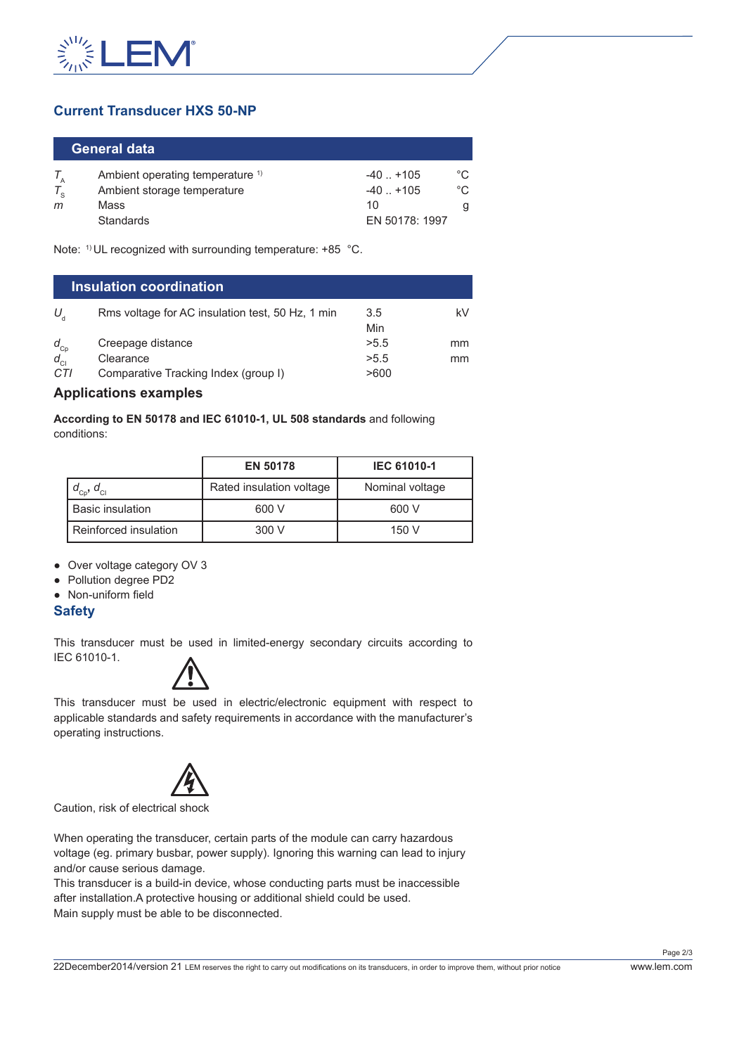

## **Current Transducer HXS 50-NP**

| <b>General data</b> |                                             |                |     |  |  |
|---------------------|---------------------------------------------|----------------|-----|--|--|
|                     | Ambient operating temperature <sup>1)</sup> | $-40$ $+105$   | °C  |  |  |
|                     | Ambient storage temperature                 | $-40$ $+105$   | °C. |  |  |
| m                   | Mass                                        | 10             |     |  |  |
|                     | <b>Standards</b>                            | EN 50178: 1997 |     |  |  |

Note: 1) UL recognized with surrounding temperature: +85 °C.

| <b>Insulation coordination</b> |                                                  |            |    |  |
|--------------------------------|--------------------------------------------------|------------|----|--|
| U,                             | Rms voltage for AC insulation test, 50 Hz, 1 min | 3.5<br>Min | kV |  |
| $d_{Cp}$                       | Creepage distance                                | >5.5       | mm |  |
| $d_{\rm{Cl}}$                  | Clearance                                        | >5.5       | mm |  |
| CTI                            | Comparative Tracking Index (group I)             | >600       |    |  |

#### **Applications examples**

**According to EN 50178 and IEC 61010-1, UL 508 standards** and following conditions:

|                             | <b>EN 50178</b>          | <b>IEC 61010-1</b> |  |
|-----------------------------|--------------------------|--------------------|--|
| $d_{\rm cp}$ , $d_{\rm cl}$ | Rated insulation voltage | Nominal voltage    |  |
| <b>Basic insulation</b>     | 600 V                    | 600 V              |  |
| Reinforced insulation       | 300 V                    | 150 V              |  |

● Over voltage category OV 3

- Pollution degree PD2
- Non-uniform field

#### **Safety**

This transducer must be used in limited-energy secondary circuits according to IEC 61010-1.



This transducer must be used in electric/electronic equipment with respect to applicable standards and safety requirements in accordance with the manufacturer's operating instructions.



Caution, risk of electrical shock

When operating the transducer, certain parts of the module can carry hazardous voltage (eg. primary busbar, power supply). Ignoring this warning can lead to injury and/or cause serious damage.

This transducer is a build-in device, whose conducting parts must be inaccessible after installation.A protective housing or additional shield could be used. Main supply must be able to be disconnected.